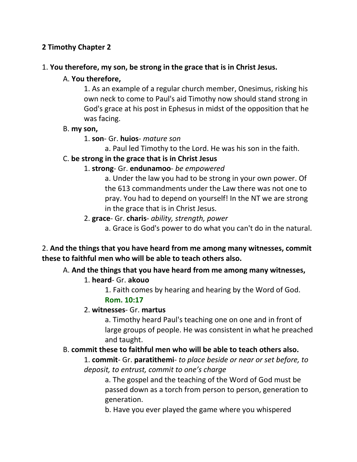# **2 Timothy Chapter 2**

#### 1. **You therefore, my son, be strong in the grace that is in Christ Jesus.**

#### A. **You therefore,**

1. As an example of a regular church member, Onesimus, risking his own neck to come to Paul's aid Timothy now should stand strong in God's grace at his post in Ephesus in midst of the opposition that he was facing.

#### B. **my son,**

#### 1. **son**- Gr. **huios**- *mature son*

a. Paul led Timothy to the Lord. He was his son in the faith.

#### C. **be strong in the grace that is in Christ Jesus**

#### 1. **strong**- Gr. **endunamoo**- *be empowered*

a. Under the law you had to be strong in your own power. Of the 613 commandments under the Law there was not one to pray. You had to depend on yourself! In the NT we are strong in the grace that is in Christ Jesus.

#### 2. **grace**- Gr. **charis**- *ability, strength, power*

a. Grace is God's power to do what you can't do in the natural.

### 2. **And the things that you have heard from me among many witnesses, commit these to faithful men who will be able to teach others also.**

### A. **And the things that you have heard from me among many witnesses,**

### 1. **heard**- Gr. **akouo**

1. Faith comes by hearing and hearing by the Word of God. **Rom. 10:17**

#### 2. **witnesses**- Gr. **martus**

a. Timothy heard Paul's teaching one on one and in front of large groups of people. He was consistent in what he preached and taught.

### B. **commit these to faithful men who will be able to teach others also.**

1. **commit**- Gr. **paratithemi**- *to place beside or near or set before, to deposit, to entrust, commit to one's charge*

a. The gospel and the teaching of the Word of God must be passed down as a torch from person to person, generation to generation.

b. Have you ever played the game where you whispered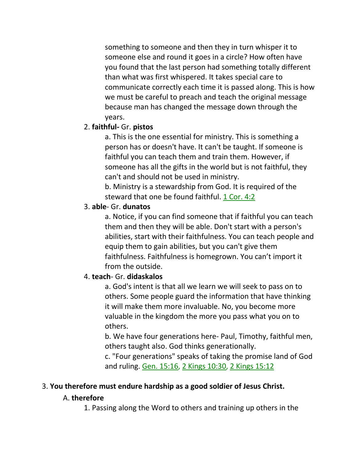something to someone and then they in turn whisper it to someone else and round it goes in a circle? How often have you found that the last person had something totally different than what was first whispered. It takes special care to communicate correctly each time it is passed along. This is how we must be careful to preach and teach the original message because man has changed the message down through the years.

### 2. **faithful-** Gr. **pistos**

a. This is the one essential for ministry. This is something a person has or doesn't have. It can't be taught. If someone is faithful you can teach them and train them. However, if someone has all the gifts in the world but is not faithful, they can't and should not be used in ministry.

b. Ministry is a stewardship from God. It is required of the steward that one be found faithful. 1 Cor. 4:2

# 3. **able**- Gr. **dunatos**

a. Notice, if you can find someone that if faithful you can teach them and then they will be able. Don't start with a person's abilities, start with their faithfulness. You can teach people and equip them to gain abilities, but you can't give them faithfulness. Faithfulness is homegrown. You can't import it from the outside.

# 4. **teach**- Gr. **didaskalos**

a. God's intent is that all we learn we will seek to pass on to others. Some people guard the information that have thinking it will make them more invaluable. No, you become more valuable in the kingdom the more you pass what you on to others.

b. We have four generations here- Paul, Timothy, faithful men, others taught also. God thinks generationally.

c. "Four generations" speaks of taking the promise land of God and ruling. Gen. 15:16, 2 Kings 10:30, 2 Kings 15:12

# 3. **You therefore must endure hardship as a good soldier of Jesus Christ.**

# A. **therefore**

1. Passing along the Word to others and training up others in the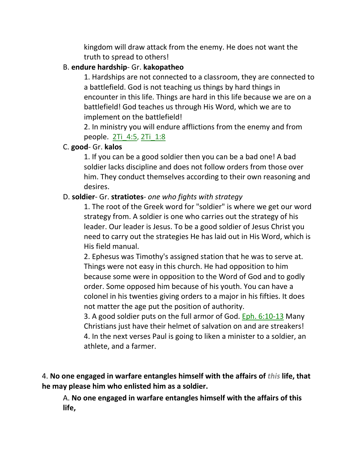kingdom will draw attack from the enemy. He does not want the truth to spread to others!

### B. **endure hardship**- Gr. **kakopatheo**

1. Hardships are not connected to a classroom, they are connected to a battlefield. God is not teaching us things by hard things in encounter in this life. Things are hard in this life because we are on a battlefield! God teaches us through His Word, which we are to implement on the battlefield!

2. In ministry you will endure afflictions from the enemy and from people. 2Ti\_4:5, 2Ti\_1:8

### C. **good**- Gr. **kalos**

1. If you can be a good soldier then you can be a bad one! A bad soldier lacks discipline and does not follow orders from those over him. They conduct themselves according to their own reasoning and desires.

### D. **soldier**- Gr. **stratiotes**- *one who fights with strategy*

1. The root of the Greek word for "soldier" is where we get our word strategy from. A soldier is one who carries out the strategy of his leader. Our leader is Jesus. To be a good soldier of Jesus Christ you need to carry out the strategies He has laid out in His Word, which is His field manual.

2. Ephesus was Timothy's assigned station that he was to serve at. Things were not easy in this church. He had opposition to him because some were in opposition to the Word of God and to godly order. Some opposed him because of his youth. You can have a colonel in his twenties giving orders to a major in his fifties. It does not matter the age put the position of authority.

3. A good soldier puts on the full armor of God. Eph. 6:10-13 Many Christians just have their helmet of salvation on and are streakers! 4. In the next verses Paul is going to liken a minister to a soldier, an athlete, and a farmer.

4. **No one engaged in warfare entangles himself with the affairs of** *this* **life, that he may please him who enlisted him as a soldier.** 

A. **No one engaged in warfare entangles himself with the affairs of this life,**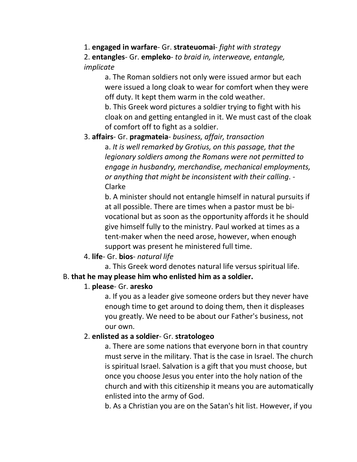# 1. **engaged in warfare**- Gr. **strateuomai**- *fight with strategy*

2. **entangles**- Gr. **empleko**- *to braid in, interweave, entangle, implicate*

> a. The Roman soldiers not only were issued armor but each were issued a long cloak to wear for comfort when they were off duty. It kept them warm in the cold weather.

b. This Greek word pictures a soldier trying to fight with his cloak on and getting entangled in it. We must cast of the cloak of comfort off to fight as a soldier.

# 3. **affairs**- Gr. **pragmateia**- *business, affair, transaction*

a. *It is well remarked by Grotius, on this passage, that the legionary soldiers among the Romans were not permitted to engage in husbandry, merchandise, mechanical employments, or anything that might be inconsistent with their calling*. - Clarke

b. A minister should not entangle himself in natural pursuits if at all possible. There are times when a pastor must be bivocational but as soon as the opportunity affords it he should give himself fully to the ministry. Paul worked at times as a tent-maker when the need arose, however, when enough support was present he ministered full time.

# 4. **life**- Gr. **bios**- *natural life*

a. This Greek word denotes natural life versus spiritual life.

# B. **that he may please him who enlisted him as a soldier.**

# 1. **please**- Gr. **aresko**

a. If you as a leader give someone orders but they never have enough time to get around to doing them, then it displeases you greatly. We need to be about our Father's business, not our own.

# 2. **enlisted as a soldier**- Gr. **stratologeo**

a. There are some nations that everyone born in that country must serve in the military. That is the case in Israel. The church is spiritual Israel. Salvation is a gift that you must choose, but once you choose Jesus you enter into the holy nation of the church and with this citizenship it means you are automatically enlisted into the army of God.

b. As a Christian you are on the Satan's hit list. However, if you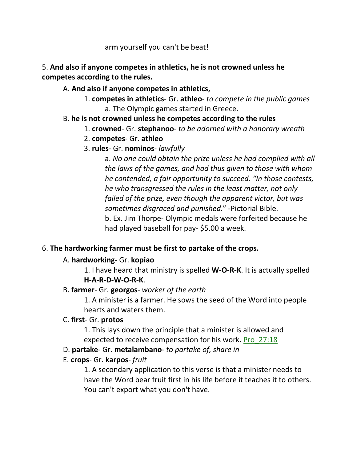arm yourself you can't be beat!

# 5. **And also if anyone competes in athletics, he is not crowned unless he competes according to the rules.**

# A. **And also if anyone competes in athletics,**

1. **competes in athletics**- Gr. **athleo**- *to compete in the public games* a. The Olympic games started in Greece.

# B. **he is not crowned unless he competes according to the rules**

- 1. **crowned** Gr. **stephanoo** *to be adorned with a honorary wreath*
- 2. **competes** Gr. **athleo**
- 3. **rules** Gr. **nominos** *lawfully*

a. *No one could obtain the prize unless he had complied with all the laws of the games, and had thus given to those with whom he contended, a fair opportunity to succeed. "In those contests, he who transgressed the rules in the least matter, not only failed of the prize, even though the apparent victor, but was sometimes disgraced and punished.*" -Pictorial Bible. b. Ex. Jim Thorpe- Olympic medals were forfeited because he had played baseball for pay- \$5.00 a week.

# 6. **The hardworking farmer must be first to partake of the crops.**

# A. **hardworking**- Gr. **kopiao**

1. I have heard that ministry is spelled **W-O-R-K**. It is actually spelled **H-A-R-D-W-O-R-K**.

# B. **farmer**- Gr. **georgos**- *worker of the earth*

1. A minister is a farmer. He sows the seed of the Word into people hearts and waters them.

# C. **first**- Gr. **protos**

1. This lays down the principle that a minister is allowed and expected to receive compensation for his work. Pro\_27:18

# D. **partake**- Gr. **metalambano**- *to partake of, share in*

# E. **crops**- Gr. **karpos**- *fruit*

1. A secondary application to this verse is that a minister needs to have the Word bear fruit first in his life before it teaches it to others. You can't export what you don't have.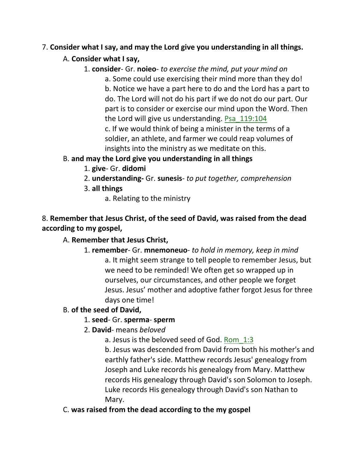# 7. **Consider what I say, and may the Lord give you understanding in all things.**

# A. **Consider what I say,**

1. **consider**- Gr. **noieo**- *to exercise the mind, put your mind on*

a. Some could use exercising their mind more than they do! b. Notice we have a part here to do and the Lord has a part to do. The Lord will not do his part if we do not do our part. Our part is to consider or exercise our mind upon the Word. Then the Lord will give us understanding. Psa\_119:104

c. If we would think of being a minister in the terms of a soldier, an athlete, and farmer we could reap volumes of insights into the ministry as we meditate on this.

# B. **and may the Lord give you understanding in all things**

- 1. **give** Gr. **didomi**
- 2. **understanding-** Gr. **sunesis** *to put together, comprehension*
- 3. **all things**
	- a. Relating to the ministry

# 8. **Remember that Jesus Christ, of the seed of David, was raised from the dead according to my gospel,**

# A. **Remember that Jesus Christ,**

1. **remember**- Gr. **mnemoneuo**- *to hold in memory, keep in mind* a. It might seem strange to tell people to remember Jesus, but we need to be reminded! We often get so wrapped up in ourselves, our circumstances, and other people we forget Jesus. Jesus' mother and adoptive father forgot Jesus for three days one time!

# B. **of the seed of David,**

# 1. **seed**- Gr. **sperma**- **sperm**

2. **David**- means *beloved*

a. Jesus is the beloved seed of God. Rom\_1:3

b. Jesus was descended from David from both his mother's and earthly father's side. Matthew records Jesus' genealogy from Joseph and Luke records his genealogy from Mary. Matthew records His genealogy through David's son Solomon to Joseph. Luke records His genealogy through David's son Nathan to Mary.

# C. **was raised from the dead according to the my gospel**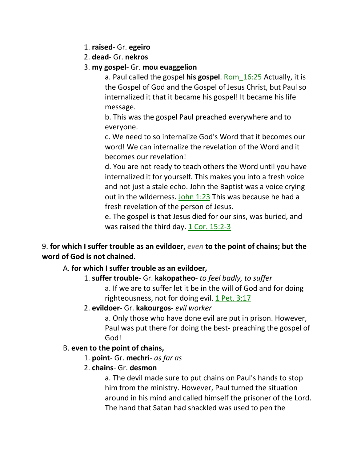- 1. **raised** Gr. **egeiro**
- 2. **dead** Gr. **nekros**
- 3. **my gospel** Gr. **mou euaggelion**

a. Paul called the gospel **his gospel**. Rom\_16:25 Actually, it is the Gospel of God and the Gospel of Jesus Christ, but Paul so internalized it that it became his gospel! It became his life message.

b. This was the gospel Paul preached everywhere and to everyone.

c. We need to so internalize God's Word that it becomes our word! We can internalize the revelation of the Word and it becomes our revelation!

d. You are not ready to teach others the Word until you have internalized it for yourself. This makes you into a fresh voice and not just a stale echo. John the Baptist was a voice crying out in the wilderness. John 1:23 This was because he had a fresh revelation of the person of Jesus.

e. The gospel is that Jesus died for our sins, was buried, and was raised the third day. 1 Cor. 15:2-3

# 9. **for which I suffer trouble as an evildoer,** *even* **to the point of chains; but the word of God is not chained.**

# A. **for which I suffer trouble as an evildoer,**

# 1. **suffer trouble**- Gr. **kakopatheo**- *to feel badly, to suffer*

a. If we are to suffer let it be in the will of God and for doing righteousness, not for doing evil. 1 Pet. 3:17

### 2. **evildoer**- Gr. **kakourgos**- *evil worker*

a. Only those who have done evil are put in prison. However, Paul was put there for doing the best- preaching the gospel of God!

# B. **even to the point of chains,**

- 1. **point** Gr. **mechri** *as far as*
- 2. **chains** Gr. **desmon**

a. The devil made sure to put chains on Paul's hands to stop him from the ministry. However, Paul turned the situation around in his mind and called himself the prisoner of the Lord. The hand that Satan had shackled was used to pen the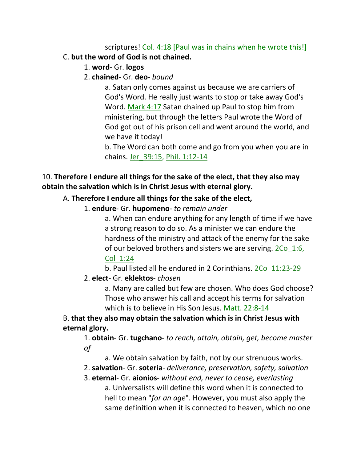# scriptures! Col. 4:18 [Paul was in chains when he wrote this!] C. **but the word of God is not chained.**

- 1. **word** Gr. **logos**
- 2. **chained** Gr. **deo** *bound*

a. Satan only comes against us because we are carriers of God's Word. He really just wants to stop or take away God's Word. Mark 4:17 Satan chained up Paul to stop him from ministering, but through the letters Paul wrote the Word of God got out of his prison cell and went around the world, and we have it today!

b. The Word can both come and go from you when you are in chains. Jer\_39:15, Phil. 1:12-14

# 10. **Therefore I endure all things for the sake of the elect, that they also may obtain the salvation which is in Christ Jesus with eternal glory.**

# A. **Therefore I endure all things for the sake of the elect,**

1. **endure**- Gr. **hupomeno**- *to remain under*

a. When can endure anything for any length of time if we have a strong reason to do so. As a minister we can endure the hardness of the ministry and attack of the enemy for the sake of our beloved brothers and sisters we are serving. 2Co\_1:6, Col\_1:24

b. Paul listed all he endured in 2 Corinthians. 2Co\_11:23-29

2. **elect**- Gr. **eklektos**- *chosen*

a. Many are called but few are chosen. Who does God choose? Those who answer his call and accept his terms for salvation which is to believe in His Son Jesus. Matt. 22:8-14

B. **that they also may obtain the salvation which is in Christ Jesus with eternal glory.** 

1. **obtain**- Gr. **tugchano**- *to reach, attain, obtain, get, become master of*

- a. We obtain salvation by faith, not by our strenuous works.
- 2. **salvation** Gr. **soteria** *deliverance, preservation, safety, salvation*

3. **eternal**- Gr. **aionios**- *without end, never to cease, everlasting* a. Universalists will define this word when it is connected to hell to mean "*for an age*". However, you must also apply the same definition when it is connected to heaven, which no one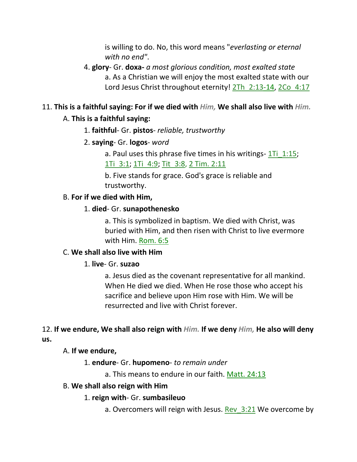is willing to do. No, this word means "*everlasting or eternal with no end"*.

4. **glory**- Gr. **doxa-** *a most glorious condition, most exalted state* a. As a Christian we will enjoy the most exalted state with our Lord Jesus Christ throughout eternity! 2Th 2:13-14, 2Co 4:17

# 11. **This is a faithful saying: For if we died with** *Him,* **We shall also live with** *Him.*

# A. **This is a faithful saying:**

1. **faithful**- Gr. **pistos**- *reliable, trustworthy*

### 2. **saying**- Gr. **logos**- *word*

a. Paul uses this phrase five times in his writings-  $1\text{Ti}$  1:15; 1Ti\_3:1; 1Ti\_4:9; Tit\_3:8, 2 Tim. 2:11

b. Five stands for grace. God's grace is reliable and trustworthy.

### B. **For if we died with Him,**

#### 1. **died**- Gr. **sunapothenesko**

a. This is symbolized in baptism. We died with Christ, was buried with Him, and then risen with Christ to live evermore with Him. Rom. 6:5

### C. **We shall also live with Him**

### 1. **live**- Gr. **suzao**

a. Jesus died as the covenant representative for all mankind. When He died we died. When He rose those who accept his sacrifice and believe upon Him rose with Him. We will be resurrected and live with Christ forever.

# 12. **If we endure, We shall also reign with** *Him.* **If we deny** *Him,* **He also will deny us.**

### A. **If we endure,**

### 1. **endure**- Gr. **hupomeno**- *to remain under*

a. This means to endure in our faith. Matt. 24:13

#### B. **We shall also reign with Him**

### 1. **reign with**- Gr. **sumbasileuo**

a. Overcomers will reign with Jesus. Rev  $3:21$  We overcome by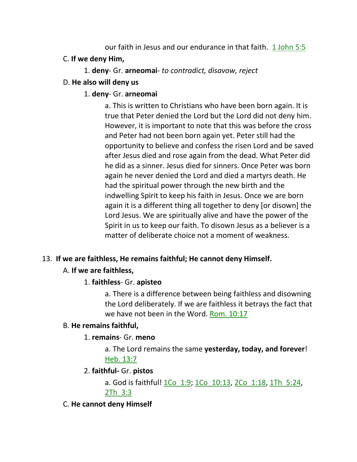our faith in Jesus and our endurance in that faith. 1 John 5:5

- C. **If we deny Him,**
	- 1. **deny** Gr. **arneomai** *to contradict, disavow, reject*
- D. **He also will deny us**
	- 1. **deny** Gr. **arneomai**

a. This is written to Christians who have been born again. It is true that Peter denied the Lord but the Lord did not deny him. However, it is important to note that this was before the cross and Peter had not been born again yet. Peter still had the opportunity to believe and confess the risen Lord and be saved after Jesus died and rose again from the dead. What Peter did he did as a sinner. Jesus died for sinners. Once Peter was born again he never denied the Lord and died a martyrs death. He had the spiritual power through the new birth and the indwelling Spirit to keep his faith in Jesus. Once we are born again it is a different thing all together to deny [or disown] the Lord Jesus. We are spiritually alive and have the power of the Spirit in us to keep our faith. To disown Jesus as a believer is a matter of deliberate choice not a moment of weakness.

### 13. **If we are faithless, He remains faithful; He cannot deny Himself.**

### A. **If we are faithless,**

### 1. **faithless**- Gr. **apisteo**

a. There is a difference between being faithless and disowning the Lord deliberately. If we are faithless it betrays the fact that we have not been in the Word. Rom. 10:17

### B. **He remains faithful,**

### 1. **remains**- Gr. **meno**

a. The Lord remains the same **yesterday, today, and forever**! Heb. 13:7

### 2. **faithful-** Gr. **pistos**

a. God is faithful! 1Co 1:9; 1Co 10:13, 2Co 1:18, 1Th 5:24, 2Th\_3:3

C. **He cannot deny Himself**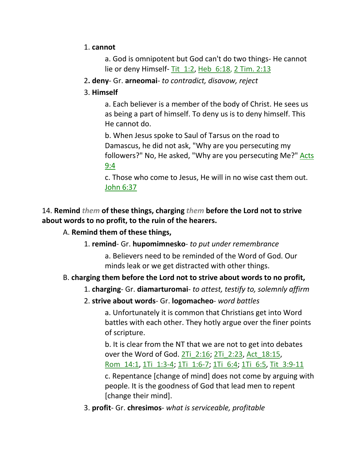### 1. **cannot**

a. God is omnipotent but God can't do two things- He cannot lie or deny Himself- Tit\_1:2, Heb\_6:18, 2 Tim. 2:13

2**. deny**- Gr. **arneomai**- *to contradict, disavow, reject*

# 3. **Himself**

a. Each believer is a member of the body of Christ. He sees us as being a part of himself. To deny us is to deny himself. This He cannot do.

b. When Jesus spoke to Saul of Tarsus on the road to Damascus, he did not ask, "Why are you persecuting my followers?" No, He asked, "Why are you persecuting Me?" Acts 9:4

c. Those who come to Jesus, He will in no wise cast them out. John 6:37

# 14. **Remind** *them* **of these things, charging** *them* **before the Lord not to strive about words to no profit, to the ruin of the hearers.**

# A. **Remind them of these things,**

1. **remind**- Gr. **hupomimnesko**- *to put under remembrance*

a. Believers need to be reminded of the Word of God. Our minds leak or we get distracted with other things.

# B. **charging them before the Lord not to strive about words to no profit,**

- 1. **charging** Gr. **diamarturomai** *to attest, testify to, solemnly affirm*
- 2. **strive about words** Gr. **logomacheo** *word battles*

a. Unfortunately it is common that Christians get into Word battles with each other. They hotly argue over the finer points of scripture.

b. It is clear from the NT that we are not to get into debates over the Word of God. 2Ti\_2:16; 2Ti\_2:23, Act\_18:15, Rom\_14:1, 1Ti\_1:3-4; 1Ti\_1:6-7; 1Ti\_6:4; 1Ti\_6:5, Tit\_3:9-11

c. Repentance [change of mind] does not come by arguing with people. It is the goodness of God that lead men to repent [change their mind].

3. **profit**- Gr. **chresimos**- *what is serviceable, profitable*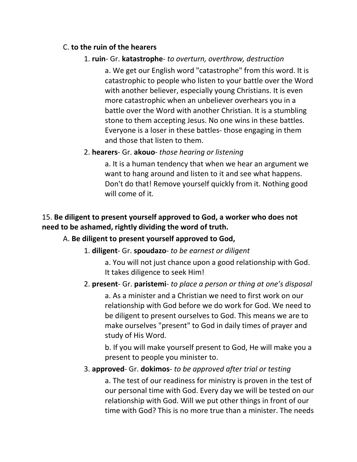### C. **to the ruin of the hearers**

# 1. **ruin**- Gr. **katastrophe**- *to overturn, overthrow, destruction*

a. We get our English word "catastrophe" from this word. It is catastrophic to people who listen to your battle over the Word with another believer, especially young Christians. It is even more catastrophic when an unbeliever overhears you in a battle over the Word with another Christian. It is a stumbling stone to them accepting Jesus. No one wins in these battles. Everyone is a loser in these battles- those engaging in them and those that listen to them.

### 2. **hearers**- Gr. **akouo**- *those hearing or listening*

a. It is a human tendency that when we hear an argument we want to hang around and listen to it and see what happens. Don't do that! Remove yourself quickly from it. Nothing good will come of it.

# 15. **Be diligent to present yourself approved to God, a worker who does not need to be ashamed, rightly dividing the word of truth.**

### A. **Be diligent to present yourself approved to God,**

### 1. **diligent**- Gr. **spoudazo**- *to be earnest or diligent*

a. You will not just chance upon a good relationship with God. It takes diligence to seek Him!

### 2. **present**- Gr. **paristemi**- *to place a person or thing at one's disposal*

a. As a minister and a Christian we need to first work on our relationship with God before we do work for God. We need to be diligent to present ourselves to God. This means we are to make ourselves "present" to God in daily times of prayer and study of His Word.

b. If you will make yourself present to God, He will make you a present to people you minister to.

### 3. **approved**- Gr. **dokimos**- *to be approved after trial or testing*

a. The test of our readiness for ministry is proven in the test of our personal time with God. Every day we will be tested on our relationship with God. Will we put other things in front of our time with God? This is no more true than a minister. The needs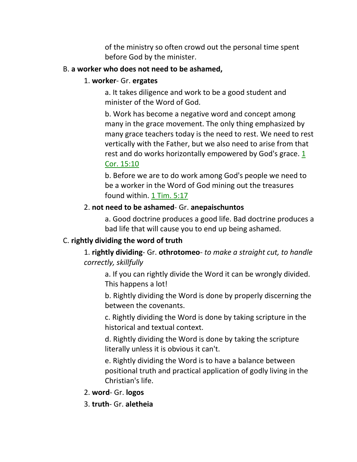of the ministry so often crowd out the personal time spent before God by the minister.

#### B. **a worker who does not need to be ashamed,**

#### 1. **worker**- Gr. **ergates**

a. It takes diligence and work to be a good student and minister of the Word of God.

b. Work has become a negative word and concept among many in the grace movement. The only thing emphasized by many grace teachers today is the need to rest. We need to rest vertically with the Father, but we also need to arise from that rest and do works horizontally empowered by God's grace.  $1$ Cor. 15:10

b. Before we are to do work among God's people we need to be a worker in the Word of God mining out the treasures found within. 1 Tim. 5:17

### 2. **not need to be ashamed**- Gr. **anepaischuntos**

a. Good doctrine produces a good life. Bad doctrine produces a bad life that will cause you to end up being ashamed.

### C. **rightly dividing the word of truth**

1. **rightly dividing**- Gr. **othrotomeo**- *to make a straight cut, to handle correctly, skillfully*

a. If you can rightly divide the Word it can be wrongly divided. This happens a lot!

b. Rightly dividing the Word is done by properly discerning the between the covenants.

c. Rightly dividing the Word is done by taking scripture in the historical and textual context.

d. Rightly dividing the Word is done by taking the scripture literally unless it is obvious it can't.

e. Rightly dividing the Word is to have a balance between positional truth and practical application of godly living in the Christian's life.

2. **word**- Gr. **logos**

3. **truth**- Gr. **aletheia**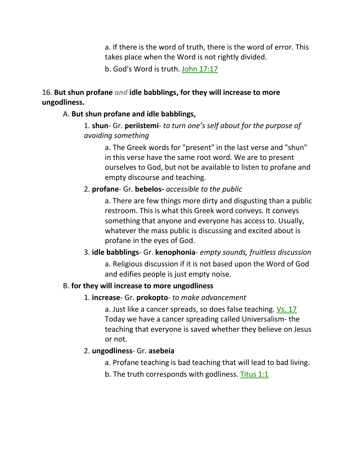a. If there is the word of truth, there is the word of error. This takes place when the Word is not rightly divided.

b. God's Word is truth. John 17:17

# 16. **But shun profane** *and* **idle babblings, for they will increase to more ungodliness.**

# A. **But shun profane and idle babblings,**

# 1. **shun**- Gr. **periistemi**- *to turn one's self about for the purpose of avoiding something*

a. The Greek words for "present" in the last verse and "shun" in this verse have the same root word. We are to present ourselves to God, but not be available to listen to profane and empty discourse and teaching.

# 2. **profane**- Gr. **bebelos-** *accessible to the public*

a. There are few things more dirty and disgusting than a public restroom. This is what this Greek word conveys. It conveys something that anyone and everyone has access to. Usually, whatever the mass public is discussing and excited about is profane in the eyes of God.

# 3. **idle babblings**- Gr. **kenophonia**- *empty sounds, fruitless discussion* a. Religious discussion if it is not based upon the Word of God and edifies people is just empty noise.

# B. **for they will increase to more ungodliness**

# 1. **increase**- Gr. **prokopto**- *to make advancement*

a. Just like a cancer spreads, so does false teaching. Vs. 17 Today we have a cancer spreading called Universalism- the teaching that everyone is saved whether they believe on Jesus or not.

# 2. **ungodliness**- Gr. **asebeia**

- a. Profane teaching is bad teaching that will lead to bad living.
- b. The truth corresponds with godliness. Titus 1:1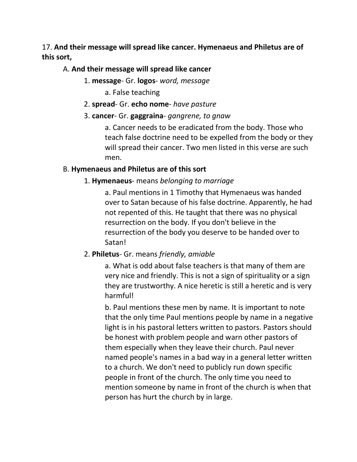17. **And their message will spread like cancer. Hymenaeus and Philetus are of this sort,** 

### A. **And their message will spread like cancer**

- 1. **message** Gr. **logos** *word, message*
	- a. False teaching
- 2. **spread** Gr. **echo nome** *have pasture*
- 3. **cancer** Gr. **gaggraina** *gangrene, to gnaw*

a. Cancer needs to be eradicated from the body. Those who teach false doctrine need to be expelled from the body or they will spread their cancer. Two men listed in this verse are such men.

### B. **Hymenaeus and Philetus are of this sort**

# 1. **Hymenaeus**- means *belonging to marriage*

a. Paul mentions in 1 Timothy that Hymenaeus was handed over to Satan because of his false doctrine. Apparently, he had not repented of this. He taught that there was no physical resurrection on the body. If you don't believe in the resurrection of the body you deserve to be handed over to Satan!

# 2. **Philetus**- Gr. means *friendly, amiable*

a. What is odd about false teachers is that many of them are very nice and friendly. This is not a sign of spirituality or a sign they are trustworthy. A nice heretic is still a heretic and is very harmful!

b. Paul mentions these men by name. It is important to note that the only time Paul mentions people by name in a negative light is in his pastoral letters written to pastors. Pastors should be honest with problem people and warn other pastors of them especially when they leave their church. Paul never named people's names in a bad way in a general letter written to a church. We don't need to publicly run down specific people in front of the church. The only time you need to mention someone by name in front of the church is when that person has hurt the church by in large.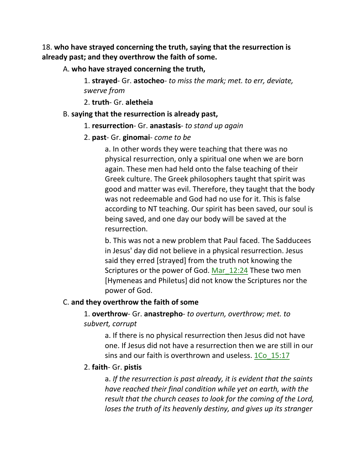18. **who have strayed concerning the truth, saying that the resurrection is already past; and they overthrow the faith of some.** 

A. **who have strayed concerning the truth,**

1. **strayed**- Gr. **astocheo**- *to miss the mark; met. to err, deviate, swerve from*

2. **truth**- Gr. **aletheia**

#### B. **saying that the resurrection is already past,**

- 1. **resurrection** Gr. **anastasis** *to stand up again*
- 2. **past** Gr. **ginomai** *come to be*

a. In other words they were teaching that there was no physical resurrection, only a spiritual one when we are born again. These men had held onto the false teaching of their Greek culture. The Greek philosophers taught that spirit was good and matter was evil. Therefore, they taught that the body was not redeemable and God had no use for it. This is false according to NT teaching. Our spirit has been saved, our soul is being saved, and one day our body will be saved at the resurrection.

b. This was not a new problem that Paul faced. The Sadducees in Jesus' day did not believe in a physical resurrection. Jesus said they erred [strayed] from the truth not knowing the Scriptures or the power of God. Mar 12:24 These two men [Hymeneas and Philetus] did not know the Scriptures nor the power of God.

### C. **and they overthrow the faith of some**

# 1. **overthrow**- Gr. **anastrepho**- *to overturn, overthrow; met. to subvert, corrupt*

a. If there is no physical resurrection then Jesus did not have one. If Jesus did not have a resurrection then we are still in our sins and our faith is overthrown and useless.  $1Co$  15:17

### 2. **faith**- Gr. **pistis**

a. *If the resurrection is past already, it is evident that the saints have reached their final condition while yet on earth, with the result that the church ceases to look for the coming of the Lord, loses the truth of its heavenly destiny, and gives up its stranger*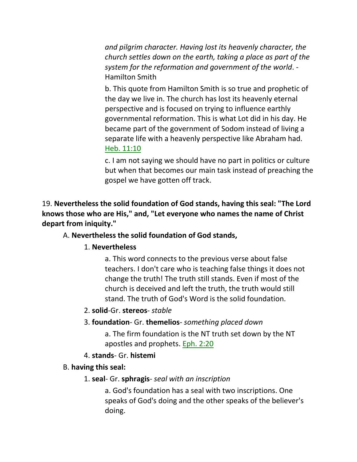*and pilgrim character. Having lost its heavenly character, the church settles down on the earth, taking a place as part of the system for the reformation and government of the world*. - Hamilton Smith

b. This quote from Hamilton Smith is so true and prophetic of the day we live in. The church has lost its heavenly eternal perspective and is focused on trying to influence earthly governmental reformation. This is what Lot did in his day. He became part of the government of Sodom instead of living a separate life with a heavenly perspective like Abraham had. Heb. 11:10

c. I am not saying we should have no part in politics or culture but when that becomes our main task instead of preaching the gospel we have gotten off track.

19. **Nevertheless the solid foundation of God stands, having this seal: "The Lord knows those who are His," and, "Let everyone who names the name of Christ depart from iniquity."** 

### A. **Nevertheless the solid foundation of God stands,**

### 1. **Nevertheless**

a. This word connects to the previous verse about false teachers. I don't care who is teaching false things it does not change the truth! The truth still stands. Even if most of the church is deceived and left the truth, the truth would still stand. The truth of God's Word is the solid foundation.

### 2. **solid**-Gr. **stereos**- *stable*

# 3. **foundation**- Gr. **themelios**- *something placed down*

a. The firm foundation is the NT truth set down by the NT apostles and prophets. Eph. 2:20

# 4. **stands**- Gr. **histemi**

### B. **having this seal:**

### 1. **seal**- Gr. **sphragis**- *seal with an inscription*

a. God's foundation has a seal with two inscriptions. One speaks of God's doing and the other speaks of the believer's doing.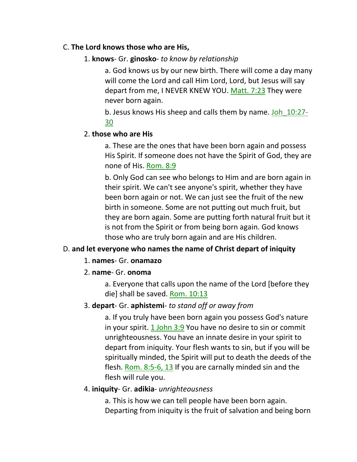### C. **The Lord knows those who are His,**

# 1. **knows**- Gr. **ginosko**- *to know by relationship*

a. God knows us by our new birth. There will come a day many will come the Lord and call Him Lord, Lord, but Jesus will say depart from me, I NEVER KNEW YOU. Matt. 7:23 They were never born again.

b. Jesus knows His sheep and calls them by name. Joh\_10:27- 30

### 2. **those who are His**

a. These are the ones that have been born again and possess His Spirit. If someone does not have the Spirit of God, they are none of His. Rom. 8:9

b. Only God can see who belongs to Him and are born again in their spirit. We can't see anyone's spirit, whether they have been born again or not. We can just see the fruit of the new birth in someone. Some are not putting out much fruit, but they are born again. Some are putting forth natural fruit but it is not from the Spirit or from being born again. God knows those who are truly born again and are His children.

# D. **and let everyone who names the name of Christ depart of iniquity**

### 1. **names**- Gr. **onamazo**

### 2. **name**- Gr. **onoma**

a. Everyone that calls upon the name of the Lord [before they die] shall be saved. Rom. 10:13

### 3. **depart**- Gr. **aphistemi**- *to stand off or away from*

a. If you truly have been born again you possess God's nature in your spirit.  $1$  John  $3:9$  You have no desire to sin or commit unrighteousness. You have an innate desire in your spirit to depart from iniquity. Your flesh wants to sin, but if you will be spiritually minded, the Spirit will put to death the deeds of the flesh. Rom. 8:5-6, 13 If you are carnally minded sin and the flesh will rule you.

### 4. **iniquity**- Gr. **adikia**- *unrighteousness*

a. This is how we can tell people have been born again. Departing from iniquity is the fruit of salvation and being born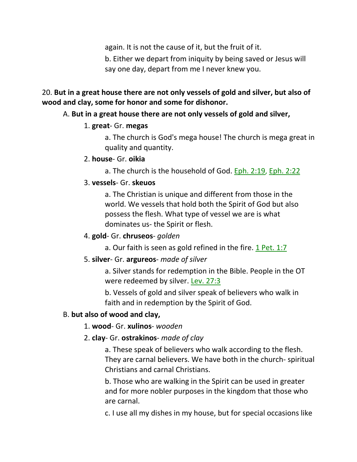again. It is not the cause of it, but the fruit of it.

b. Either we depart from iniquity by being saved or Jesus will say one day, depart from me I never knew you.

# 20. **But in a great house there are not only vessels of gold and silver, but also of wood and clay, some for honor and some for dishonor.**

# A. **But in a great house there are not only vessels of gold and silver,**

# 1. **great**- Gr. **megas**

a. The church is God's mega house! The church is mega great in quality and quantity.

# 2. **house**- Gr. **oikia**

a. The church is the household of God. Eph. 2:19, Eph. 2:22

# 3. **vessels**- Gr. **skeuos**

a. The Christian is unique and different from those in the world. We vessels that hold both the Spirit of God but also possess the flesh. What type of vessel we are is what dominates us- the Spirit or flesh.

# 4. **gold**- Gr. **chruseos**- *golden*

a. Our faith is seen as gold refined in the fire. 1 Pet. 1:7

# 5. **silver**- Gr. **argureos**- *made of silver*

a. Silver stands for redemption in the Bible. People in the OT were redeemed by silver. Lev. 27:3

b. Vessels of gold and silver speak of believers who walk in faith and in redemption by the Spirit of God.

# B. **but also of wood and clay,**

# 1. **wood**- Gr. **xulinos**- *wooden*

# 2. **clay**- Gr. **ostrakinos**- *made of clay*

a. These speak of believers who walk according to the flesh. They are carnal believers. We have both in the church- spiritual Christians and carnal Christians.

b. Those who are walking in the Spirit can be used in greater and for more nobler purposes in the kingdom that those who are carnal.

c. I use all my dishes in my house, but for special occasions like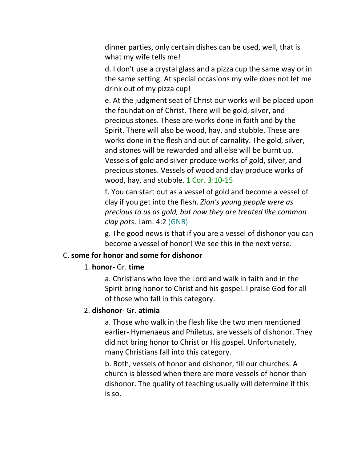dinner parties, only certain dishes can be used, well, that is what my wife tells me!

d. I don't use a crystal glass and a pizza cup the same way or in the same setting. At special occasions my wife does not let me drink out of my pizza cup!

e. At the judgment seat of Christ our works will be placed upon the foundation of Christ. There will be gold, silver, and precious stones. These are works done in faith and by the Spirit. There will also be wood, hay, and stubble. These are works done in the flesh and out of carnality. The gold, silver, and stones will be rewarded and all else will be burnt up. Vessels of gold and silver produce works of gold, silver, and precious stones. Vessels of wood and clay produce works of wood, hay, and stubble. 1 Cor. 3:10-15

f. You can start out as a vessel of gold and become a vessel of clay if you get into the flesh. *Zion's young people were as precious to us as gold, but now they are treated like common clay pots*. Lam. 4:2 (GNB)

g. The good news is that if you are a vessel of dishonor you can become a vessel of honor! We see this in the next verse.

#### C. **some for honor and some for dishonor**

#### 1. **honor**- Gr. **time**

a. Christians who love the Lord and walk in faith and in the Spirit bring honor to Christ and his gospel. I praise God for all of those who fall in this category.

#### 2. **dishonor**- Gr. **atimia**

a. Those who walk in the flesh like the two men mentioned earlier- Hymenaeus and Philetus, are vessels of dishonor. They did not bring honor to Christ or His gospel. Unfortunately, many Christians fall into this category.

b. Both, vessels of honor and dishonor, fill our churches. A church is blessed when there are more vessels of honor than dishonor. The quality of teaching usually will determine if this is so.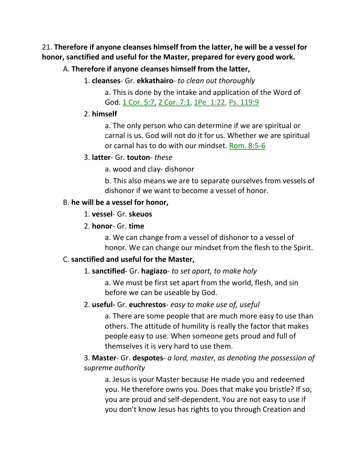21. **Therefore if anyone cleanses himself from the latter, he will be a vessel for honor, sanctified and useful for the Master, prepared for every good work.** 

### A. **Therefore if anyone cleanses himself from the latter,**

1. **cleanses**- Gr. **ekkathairo**- *to clean out thoroughly*

a. This is done by the intake and application of the Word of God. 1 Cor. 5:7, 2 Cor. 7:1, 1Pe 1:22, Ps. 119:9

#### 2. **himself**

a. The only person who can determine if we are spiritual or carnal is us. God will not do it for us. Whether we are spiritual or carnal has to do with our mindset. Rom. 8:5-6

#### 3. **latter**- Gr. **touton**- *these*

a. wood and clay- dishonor

b. This also means we are to separate ourselves from vessels of dishonor if we want to become a vessel of honor.

#### B. **he will be a vessel for honor,**

- 1. **vessel** Gr. **skeuos**
- 2. **honor** Gr. **time**

a. We can change from a vessel of dishonor to a vessel of honor. We can change our mindset from the flesh to the Spirit.

### C. **sanctified and useful for the Master,**

### 1. **sanctified**- Gr. **hagiazo**- *to set apart, to make holy*

a. We must be first set apart from the world, flesh, and sin before we can be useable by God.

### 2. **useful-** Gr. **euchrestos**- *easy to make use of, useful*

a. There are some people that are much more easy to use than others. The attitude of humility is really the factor that makes people easy to use. When someone gets proud and full of themselves it is very hard to use them.

# 3. **Master**- Gr. **despotes**- *a lord, master, as denoting the possession of supreme authority*

a. Jesus is your Master because He made you and redeemed you. He therefore owns you. Does that make you bristle? If so, you are proud and self-dependent. You are not easy to use if you don't know Jesus has rights to you through Creation and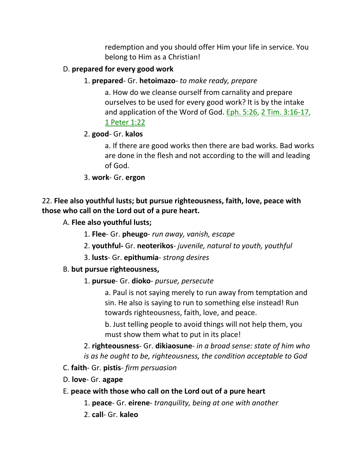redemption and you should offer Him your life in service. You belong to Him as a Christian!

# D. **prepared for every good work**

1. **prepared**- Gr. **hetoimazo**- *to make ready, prepare*

a. How do we cleanse ourself from carnality and prepare ourselves to be used for every good work? It is by the intake and application of the Word of God. Eph. 5:26, 2 Tim. 3:16-17, 1 Peter 1:22

# 2. **good**- Gr. **kalos**

a. If there are good works then there are bad works. Bad works are done in the flesh and not according to the will and leading of God.

3. **work**- Gr. **ergon**

# 22. **Flee also youthful lusts; but pursue righteousness, faith, love, peace with those who call on the Lord out of a pure heart.**

- A. **Flee also youthful lusts;**
	- 1. **Flee** Gr. **pheugo** *run away, vanish, escape*
	- 2. **youthful-** Gr. **neoterikos** *juvenile, natural to youth, youthful*
	- 3. **lusts** Gr. **epithumia** *strong desires*

# B. **but pursue righteousness,**

1. **pursue**- Gr. **dioko**- *pursue, persecute*

a. Paul is not saying merely to run away from temptation and sin. He also is saying to run to something else instead! Run towards righteousness, faith, love, and peace.

b. Just telling people to avoid things will not help them, you must show them what to put in its place!

2. **righteousness**- Gr. **dikiaosune**- *in a broad sense: state of him who is as he ought to be, righteousness, the condition acceptable to God*

- C. **faith** Gr. **pistis** *firm persuasion*
- D. **love** Gr. **agape**
- E. **peace with those who call on the Lord out of a pure heart**
	- 1. **peace** Gr. **eirene** *tranquility, being at one with another*
	- 2. **call** Gr. **kaleo**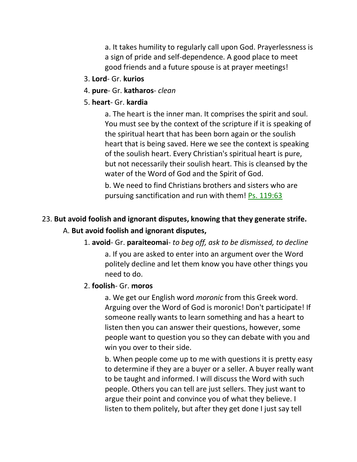a. It takes humility to regularly call upon God. Prayerlessness is a sign of pride and self-dependence. A good place to meet good friends and a future spouse is at prayer meetings!

- 3. **Lord** Gr. **kurios**
- 4. **pure** Gr. **katharos** *clean*
- 5. **heart** Gr. **kardia**

a. The heart is the inner man. It comprises the spirit and soul. You must see by the context of the scripture if it is speaking of the spiritual heart that has been born again or the soulish heart that is being saved. Here we see the context is speaking of the soulish heart. Every Christian's spiritual heart is pure, but not necessarily their soulish heart. This is cleansed by the water of the Word of God and the Spirit of God.

b. We need to find Christians brothers and sisters who are pursuing sanctification and run with them! Ps. 119:63

#### 23. **But avoid foolish and ignorant disputes, knowing that they generate strife.**

#### A. **But avoid foolish and ignorant disputes,**

1. **avoid**- Gr. **paraiteomai**- *to beg off, ask to be dismissed, to decline*

a. If you are asked to enter into an argument over the Word politely decline and let them know you have other things you need to do.

#### 2. **foolish**- Gr. **moros**

a. We get our English word *moronic* from this Greek word. Arguing over the Word of God is moronic! Don't participate! If someone really wants to learn something and has a heart to listen then you can answer their questions, however, some people want to question you so they can debate with you and win you over to their side.

b. When people come up to me with questions it is pretty easy to determine if they are a buyer or a seller. A buyer really want to be taught and informed. I will discuss the Word with such people. Others you can tell are just sellers. They just want to argue their point and convince you of what they believe. I listen to them politely, but after they get done I just say tell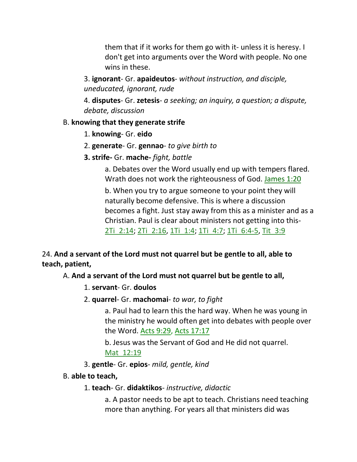them that if it works for them go with it- unless it is heresy. I don't get into arguments over the Word with people. No one wins in these.

3. **ignorant**- Gr. **apaideutos**- *without instruction, and disciple, uneducated, ignorant, rude*

4. **disputes**- Gr. **zetesis**- *a seeking; an inquiry, a question; a dispute, debate, discussion*

### B. **knowing that they generate strife**

- 1. **knowing** Gr. **eido**
- 2. **generate** Gr. **gennao** *to give birth to*
- **3. strife-** Gr. **mache-** *fight, battle*

a. Debates over the Word usually end up with tempers flared. Wrath does not work the righteousness of God. James 1:20

b. When you try to argue someone to your point they will naturally become defensive. This is where a discussion becomes a fight. Just stay away from this as a minister and as a Christian. Paul is clear about ministers not getting into this-2Ti\_2:14; 2Ti\_2:16, 1Ti\_1:4; 1Ti\_4:7; 1Ti\_6:4-5, Tit\_3:9

# 24. **And a servant of the Lord must not quarrel but be gentle to all, able to teach, patient,**

# A. **And a servant of the Lord must not quarrel but be gentle to all,**

- 1. **servant** Gr. **doulos**
- 2. **quarrel** Gr. **machomai** *to war, to fight*

a. Paul had to learn this the hard way. When he was young in the ministry he would often get into debates with people over the Word. Acts 9:29, Acts 17:17

b. Jesus was the Servant of God and He did not quarrel. Mat\_12:19

3. **gentle**- Gr. **epios**- *mild, gentle, kind*

### B. **able to teach,**

1. **teach**- Gr. **didaktikos**- *instructive, didactic*

a. A pastor needs to be apt to teach. Christians need teaching more than anything. For years all that ministers did was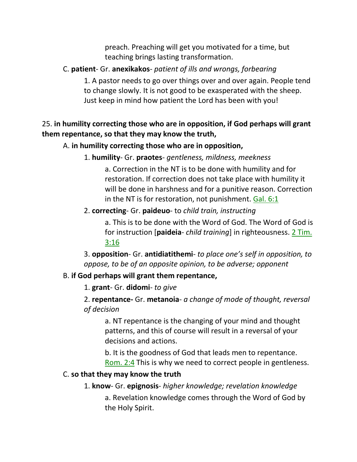preach. Preaching will get you motivated for a time, but teaching brings lasting transformation.

# C. **patient**- Gr. **anexikakos**- *patient of ills and wrongs, forbearing*

1. A pastor needs to go over things over and over again. People tend to change slowly. It is not good to be exasperated with the sheep. Just keep in mind how patient the Lord has been with you!

# 25. **in humility correcting those who are in opposition, if God perhaps will grant them repentance, so that they may know the truth,**

### A. **in humility correcting those who are in opposition,**

1. **humility**- Gr. **praotes**- *gentleness, mildness, meekness*

a. Correction in the NT is to be done with humility and for restoration. If correction does not take place with humility it will be done in harshness and for a punitive reason. Correction in the NT is for restoration, not punishment. Gal. 6:1

### 2. **correcting**- Gr. **paideuo**- to *child train, instructing*

a. This is to be done with the Word of God. The Word of God is for instruction [**paideia**- *child training*] in righteousness. 2 Tim. 3:16

3. **opposition**- Gr. **antidiatithemi**- *to place one's self in opposition, to oppose, to be of an opposite opinion, to be adverse; opponent*

### B. **if God perhaps will grant them repentance,**

1. **grant**- Gr. **didomi**- *to give*

2. **repentance-** Gr. **metanoia**- *a change of mode of thought, reversal of decision*

a. NT repentance is the changing of your mind and thought patterns, and this of course will result in a reversal of your decisions and actions.

b. It is the goodness of God that leads men to repentance. Rom. 2:4 This is why we need to correct people in gentleness.

# C. **so that they may know the truth**

### 1. **know**- Gr. **epignosis**- *higher knowledge; revelation knowledge*

a. Revelation knowledge comes through the Word of God by the Holy Spirit.